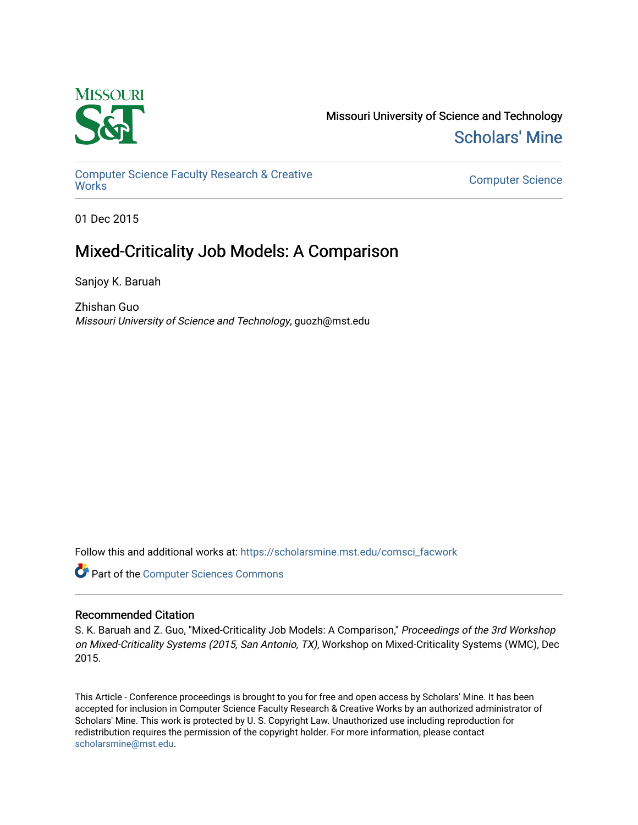

Missouri University of Science and Technology [Scholars' Mine](https://scholarsmine.mst.edu/) 

[Computer Science Faculty Research & Creative](https://scholarsmine.mst.edu/comsci_facwork)  [Works](https://scholarsmine.mst.edu/comsci_facwork) [Computer Science](https://scholarsmine.mst.edu/comsci) 

01 Dec 2015

# Mixed-Criticality Job Models: A Comparison

Sanjoy K. Baruah

Zhishan Guo Missouri University of Science and Technology, guozh@mst.edu

Follow this and additional works at: [https://scholarsmine.mst.edu/comsci\\_facwork](https://scholarsmine.mst.edu/comsci_facwork?utm_source=scholarsmine.mst.edu%2Fcomsci_facwork%2F436&utm_medium=PDF&utm_campaign=PDFCoverPages) 

**Part of the [Computer Sciences Commons](http://network.bepress.com/hgg/discipline/142?utm_source=scholarsmine.mst.edu%2Fcomsci_facwork%2F436&utm_medium=PDF&utm_campaign=PDFCoverPages)** 

# Recommended Citation

S. K. Baruah and Z. Guo, "Mixed-Criticality Job Models: A Comparison," Proceedings of the 3rd Workshop on Mixed-Criticality Systems (2015, San Antonio, TX), Workshop on Mixed-Criticality Systems (WMC), Dec 2015.

This Article - Conference proceedings is brought to you for free and open access by Scholars' Mine. It has been accepted for inclusion in Computer Science Faculty Research & Creative Works by an authorized administrator of Scholars' Mine. This work is protected by U. S. Copyright Law. Unauthorized use including reproduction for redistribution requires the permission of the copyright holder. For more information, please contact [scholarsmine@mst.edu.](mailto:scholarsmine@mst.edu)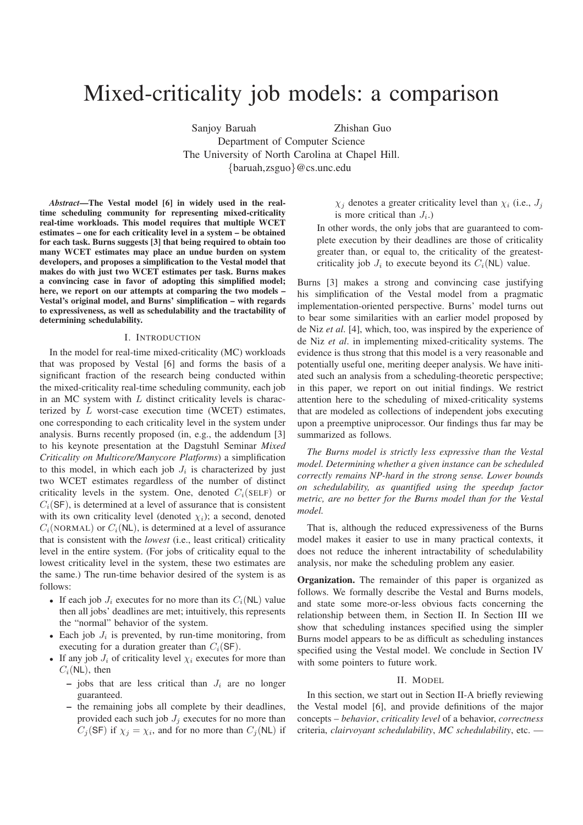# Mixed-criticality job models: a comparison

Sanjoy Baruah Zhishan Guo Department of Computer Science The University of North Carolina at Chapel Hill. {baruah,zsguo}@cs.unc.edu

*Abstract*—The Vestal model [6] in widely used in the realtime scheduling community for representing mixed-criticality real-time workloads. This model requires that multiple WCET estimates – one for each criticality level in a system – be obtained for each task. Burns suggests [3] that being required to obtain too many WCET estimates may place an undue burden on system developers, and proposes a simplification to the Vestal model that makes do with just two WCET estimates per task. Burns makes a convincing case in favor of adopting this simplified model; here, we report on our attempts at comparing the two models – Vestal's original model, and Burns' simplification – with regards to expressiveness, as well as schedulability and the tractability of determining schedulability.

# I. INTRODUCTION

In the model for real-time mixed-criticality (MC) workloads that was proposed by Vestal [6] and forms the basis of a significant fraction of the research being conducted within the mixed-criticality real-time scheduling community, each job in an MC system with  $L$  distinct criticality levels is characterized by  $L$  worst-case execution time (WCET) estimates, one corresponding to each criticality level in the system under analysis. Burns recently proposed (in, e.g., the addendum [3] to his keynote presentation at the Dagstuhl Seminar *Mixed Criticality on Multicore/Manycore Platforms*) a simplification to this model, in which each job  $J_i$  is characterized by just two WCET estimates regardless of the number of distinct criticality levels in the system. One, denoted  $C_i$ (SELF) or  $C_i$ (SF), is determined at a level of assurance that is consistent with its own criticality level (denoted  $\chi_i$ ); a second, denoted  $C_i(Non)$  or  $C_i(NL)$ , is determined at a level of assurance that is consistent with the *lowest* (i.e., least critical) criticality level in the entire system. (For jobs of criticality equal to the lowest criticality level in the system, these two estimates are the same.) The run-time behavior desired of the system is as follows:

- If each job  $J_i$  executes for no more than its  $C_i(NL)$  value then all jobs' deadlines are met; intuitively, this represents the "normal" behavior of the system.
- Each job  $J_i$  is prevented, by run-time monitoring, from executing for a duration greater than  $C_i(SF)$ .
- If any job  $J_i$  of criticality level  $\chi_i$  executes for more than  $C_i(NL)$ , then
	- jobs that are less critical than  $J_i$  are no longer guaranteed.
	- the remaining jobs all complete by their deadlines, provided each such job  $J_i$  executes for no more than  $C_j$ (SF) if  $\chi_j = \chi_i$ , and for no more than  $C_j$ (NL) if

 $\chi_j$  denotes a greater criticality level than  $\chi_i$  (i.e.,  $J_j$ is more critical than  $J_i$ .)

In other words, the only jobs that are guaranteed to complete execution by their deadlines are those of criticality greater than, or equal to, the criticality of the greatestcriticality job  $J_i$  to execute beyond its  $C_i(NL)$  value.

Burns [3] makes a strong and convincing case justifying his simplification of the Vestal model from a pragmatic implementation-oriented perspective. Burns' model turns out to bear some similarities with an earlier model proposed by de Niz *et al*. [4], which, too, was inspired by the experience of de Niz *et al*. in implementing mixed-criticality systems. The evidence is thus strong that this model is a very reasonable and potentially useful one, meriting deeper analysis. We have initiated such an analysis from a scheduling-theoretic perspective; in this paper, we report on out initial findings. We restrict attention here to the scheduling of mixed-criticality systems that are modeled as collections of independent jobs executing upon a preemptive uniprocessor. Our findings thus far may be summarized as follows.

*The Burns model is strictly less expressive than the Vestal model. Determining whether a given instance can be scheduled correctly remains NP-hard in the strong sense. Lower bounds on schedulability, as quantified using the speedup factor metric, are no better for the Burns model than for the Vestal model.*

That is, although the reduced expressiveness of the Burns model makes it easier to use in many practical contexts, it does not reduce the inherent intractability of schedulability analysis, nor make the scheduling problem any easier.

Organization. The remainder of this paper is organized as follows. We formally describe the Vestal and Burns models, and state some more-or-less obvious facts concerning the relationship between them, in Section II. In Section III we show that scheduling instances specified using the simpler Burns model appears to be as difficult as scheduling instances specified using the Vestal model. We conclude in Section IV with some pointers to future work.

## II. MODEL

In this section, we start out in Section II-A briefly reviewing the Vestal model [6], and provide definitions of the major concepts – *behavior*, *criticality level* of a behavior, *correctness* criteria, *clairvoyant schedulability*, *MC schedulability*, etc. —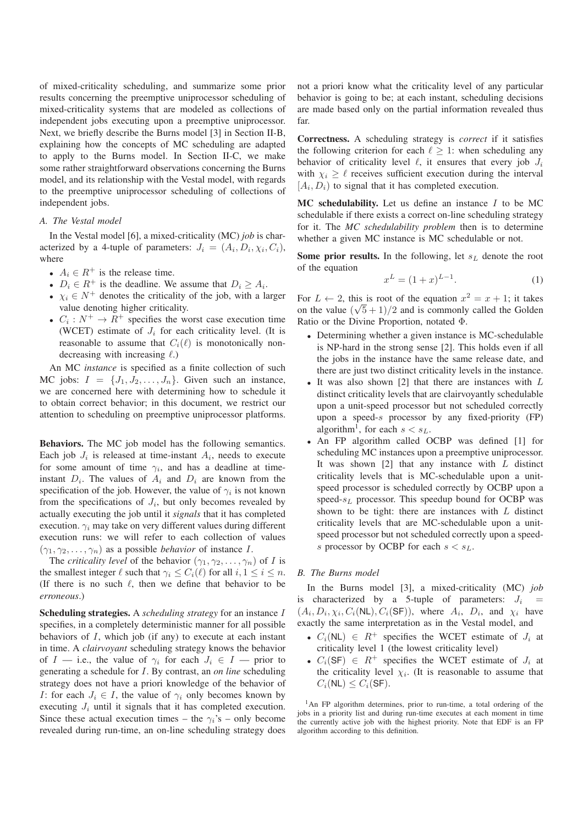of mixed-criticality scheduling, and summarize some prior results concerning the preemptive uniprocessor scheduling of mixed-criticality systems that are modeled as collections of independent jobs executing upon a preemptive uniprocessor. Next, we briefly describe the Burns model [3] in Section II-B, explaining how the concepts of MC scheduling are adapted to apply to the Burns model. In Section II-C, we make some rather straightforward observations concerning the Burns model, and its relationship with the Vestal model, with regards to the preemptive uniprocessor scheduling of collections of independent jobs.

# *A. The Vestal model*

In the Vestal model [6], a mixed-criticality (MC) *job* is characterized by a 4-tuple of parameters:  $J_i = (A_i, D_i, \chi_i, C_i)$ , where

- $A_i \in \mathbb{R}^+$  is the release time.
- $D_i \in R^+$  is the deadline. We assume that  $D_i \geq A_i$ .
- $\chi_i \in N^+$  denotes the criticality of the job, with a larger value denoting higher criticality.
- $C_i : N^+ \to R^+$  specifies the worst case execution time (WCET) estimate of  $J_i$  for each criticality level. (It is reasonable to assume that  $C_i(\ell)$  is monotonically nondecreasing with increasing  $\ell$ .)

An MC *instance* is specified as a finite collection of such MC jobs:  $I = \{J_1, J_2, \ldots, J_n\}$ . Given such an instance, we are concerned here with determining how to schedule it to obtain correct behavior; in this document, we restrict our attention to scheduling on preemptive uniprocessor platforms.

Behaviors. The MC job model has the following semantics. Each job  $J_i$  is released at time-instant  $A_i$ , needs to execute for some amount of time  $\gamma_i$ , and has a deadline at timeinstant  $D_i$ . The values of  $A_i$  and  $D_i$  are known from the specification of the job. However, the value of  $\gamma_i$  is not known from the specifications of  $J_i$ , but only becomes revealed by actually executing the job until it *signals* that it has completed execution.  $\gamma_i$  may take on very different values during different execution runs: we will refer to each collection of values  $(\gamma_1, \gamma_2, \ldots, \gamma_n)$  as a possible *behavior* of instance I.

The *criticality level* of the behavior  $(\gamma_1, \gamma_2, \dots, \gamma_n)$  of *I* is the smallest integer  $\ell$  such that  $\gamma_i \leq C_i(\ell)$  for all  $i, 1 \leq i \leq n$ . (If there is no such  $\ell$ , then we define that behavior to be *erroneous*.)

Scheduling strategies. A *scheduling strategy* for an instance I specifies, in a completely deterministic manner for all possible behaviors of  $I$ , which job (if any) to execute at each instant in time. A *clairvoyant* scheduling strategy knows the behavior of  $I$  — i.e., the value of  $\gamma_i$  for each  $J_i \in I$  — prior to generating a schedule for I. By contrast, an *on line* scheduling strategy does not have a priori knowledge of the behavior of I: for each  $J_i \in I$ , the value of  $\gamma_i$  only becomes known by executing  $J_i$  until it signals that it has completed execution. Since these actual execution times – the  $\gamma_i$ 's – only become revealed during run-time, an on-line scheduling strategy does

not a priori know what the criticality level of any particular behavior is going to be; at each instant, scheduling decisions are made based only on the partial information revealed thus far.

Correctness. A scheduling strategy is *correct* if it satisfies the following criterion for each  $\ell \geq 1$ : when scheduling any behavior of criticality level  $\ell$ , it ensures that every job  $J_i$ with  $\chi_i \geq \ell$  receives sufficient execution during the interval  $[A_i, D_i]$  to signal that it has completed execution.

MC schedulability. Let us define an instance  $I$  to be MC schedulable if there exists a correct on-line scheduling strategy for it. The *MC schedulability problem* then is to determine whether a given MC instance is MC schedulable or not.

Some prior results. In the following, let  $s<sub>L</sub>$  denote the root of the equation

$$
x^L = (1+x)^{L-1}.
$$
 (1)

For  $L \leftarrow 2$ , this is root of the equation  $x^2 = x + 1$ ; it takes on the value  $(\sqrt{5} + 1)/2$  and is commonly called the Golden Ratio or the Divine Proportion, notated Φ.

- Determining whether a given instance is MC-schedulable is NP-hard in the strong sense [2]. This holds even if all the jobs in the instance have the same release date, and there are just two distinct criticality levels in the instance.
- It was also shown  $[2]$  that there are instances with  $L$ distinct criticality levels that are clairvoyantly schedulable upon a unit-speed processor but not scheduled correctly upon a speed-s processor by any fixed-priority  $(FP)$ algorithm<sup>1</sup>, for each  $s < s<sub>L</sub>$ .
- An FP algorithm called OCBP was defined [1] for scheduling MC instances upon a preemptive uniprocessor. It was shown  $[2]$  that any instance with L distinct criticality levels that is MC-schedulable upon a unitspeed processor is scheduled correctly by OCBP upon a speed- $s_L$  processor. This speedup bound for OCBP was shown to be tight: there are instances with  $L$  distinct criticality levels that are MC-schedulable upon a unitspeed processor but not scheduled correctly upon a speeds processor by OCBP for each  $s < s<sub>L</sub>$ .

# *B. The Burns model*

In the Burns model [3], a mixed-criticality (MC) *job* is characterized by a 5-tuple of parameters:  $J_i$  =  $(A_i, D_i, \chi_i, C_i(NL), C_i(SF))$ , where  $A_i$ ,  $D_i$ , and  $\chi_i$  have exactly the same interpretation as in the Vestal model, and

- $C_i(NL) \in R^+$  specifies the WCET estimate of  $J_i$  at criticality level 1 (the lowest criticality level)
- $C_i(SF) \in R^+$  specifies the WCET estimate of  $J_i$  at the criticality level  $\chi_i$ . (It is reasonable to assume that  $C_i(NL) \leq C_i(SF)$ .

 $1$ An FP algorithm determines, prior to run-time, a total ordering of the jobs in a priority list and during run-time executes at each moment in time the currently active job with the highest priority. Note that EDF is an FP algorithm according to this definition.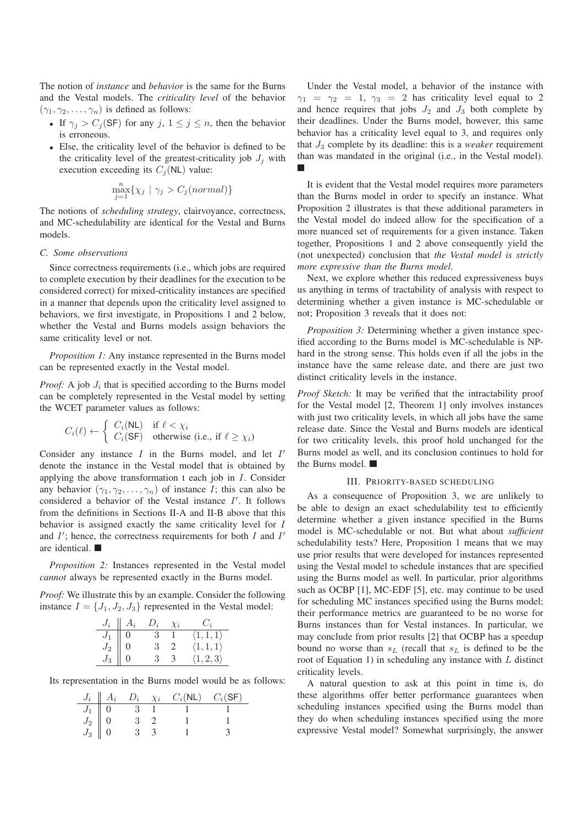The notion of *instance* and *behavior* is the same for the Burns and the Vestal models. The *criticality level* of the behavior  $(\gamma_1, \gamma_2, \ldots, \gamma_n)$  is defined as follows:

- If  $\gamma_j > C_j(\mathsf{SF})$  for any  $j, 1 \leq j \leq n$ , then the behavior is erroneous.
- Else, the criticality level of the behavior is defined to be the criticality level of the greatest-criticality job  $J_i$  with execution exceeding its  $C_j(NL)$  value:

$$
\max_{j=1}^{n} \{ \chi_j \mid \gamma_j > C_j(normal) \}
$$

The notions of *scheduling strategy*, clairvoyance, correctness, and MC-schedulability are identical for the Vestal and Burns models.

# *C. Some observations*

Since correctness requirements (i.e., which jobs are required to complete execution by their deadlines for the execution to be considered correct) for mixed-criticality instances are specified in a manner that depends upon the criticality level assigned to behaviors, we first investigate, in Propositions 1 and 2 below, whether the Vestal and Burns models assign behaviors the same criticality level or not.

*Proposition 1:* Any instance represented in the Burns model can be represented exactly in the Vestal model.

*Proof:* A job  $J_i$  that is specified according to the Burns model can be completely represented in the Vestal model by setting the WCET parameter values as follows:

$$
C_i(\ell) \leftarrow \begin{cases} C_i(\mathsf{NL}) & \text{if } \ell < \chi_i \\ C_i(\mathsf{SF}) & \text{otherwise (i.e., if } \ell \geq \chi_i) \end{cases}
$$

Consider any instance  $I$  in the Burns model, and let  $I'$ denote the instance in the Vestal model that is obtained by applying the above transformation t each job in I. Consider any behavior  $(\gamma_1, \gamma_2, \ldots, \gamma_n)$  of instance *I*; this can also be considered a behavior of the Vestal instance  $I'$ . It follows from the definitions in Sections II-A and II-B above that this behavior is assigned exactly the same criticality level for I and  $I'$ ; hence, the correctness requirements for both  $I$  and  $I'$ are identical.

*Proposition 2:* Instances represented in the Vestal model *cannot* always be represented exactly in the Burns model.

*Proof:* We illustrate this by an example. Consider the following instance  $I = \{J_1, J_2, J_3\}$  represented in the Vestal model:

|                                                                                         | $J_i \parallel A_i$ | $D_i$ | $\chi_i$       | $C_{\dot{a}}$             |
|-----------------------------------------------------------------------------------------|---------------------|-------|----------------|---------------------------|
| $J_1$                                                                                   | $\overline{0}$      | -3    | $\overline{1}$ | $\langle 1,1,1\rangle$    |
| $\begin{bmatrix} J_1 \ J_2 \ J_3 \end{bmatrix} \begin{bmatrix} 0 \ 0 \ 0 \end{bmatrix}$ |                     | -3    | - 2            | $\langle 1, 1, 1 \rangle$ |
|                                                                                         |                     | З.    | -3             | $\langle 1, 2, 3 \rangle$ |

Its representation in the Burns model would be as follows:

|                                                                         | $J_i \parallel A_i$ |  | $D_i$ $\chi_i$ $C_i(NL)$ | $C_i$ (SF) |
|-------------------------------------------------------------------------|---------------------|--|--------------------------|------------|
|                                                                         |                     |  |                          |            |
|                                                                         |                     |  |                          |            |
| $\begin{array}{c c} \hline J_1 & 0 \cr J_2 & 0 \cr J_3 & 0 \end{array}$ |                     |  |                          |            |

Under the Vestal model, a behavior of the instance with  $\gamma_1 = \gamma_2 = 1$ ,  $\gamma_3 = 2$  has criticality level equal to 2 and hence requires that jobs  $J_2$  and  $J_3$  both complete by their deadlines. Under the Burns model, however, this same behavior has a criticality level equal to 3, and requires only that  $J_3$  complete by its deadline: this is a *weaker* requirement than was mandated in the original (i.e., in the Vestal model).

It is evident that the Vestal model requires more parameters than the Burns model in order to specify an instance. What Proposition 2 illustrates is that these additional parameters in the Vestal model do indeed allow for the specification of a more nuanced set of requirements for a given instance. Taken together, Propositions 1 and 2 above consequently yield the (not unexpected) conclusion that *the Vestal model is strictly more expressive than the Burns model*.

Next, we explore whether this reduced expressiveness buys us anything in terms of tractability of analysis with respect to determining whether a given instance is MC-schedulable or not; Proposition 3 reveals that it does not:

*Proposition 3:* Determining whether a given instance specified according to the Burns model is MC-schedulable is NPhard in the strong sense. This holds even if all the jobs in the instance have the same release date, and there are just two distinct criticality levels in the instance.

*Proof Sketch:* It may be verified that the intractability proof for the Vestal model [2, Theorem 1] only involves instances with just two criticality levels, in which all jobs have the same release date. Since the Vestal and Burns models are identical for two criticality levels, this proof hold unchanged for the Burns model as well, and its conclusion continues to hold for the Burns model.

# III. PRIORITY-BASED SCHEDULING

As a consequence of Proposition 3, we are unlikely to be able to design an exact schedulability test to efficiently determine whether a given instance specified in the Burns model is MC-schedulable or not. But what about *sufficient* schedulability tests? Here, Proposition 1 means that we may use prior results that were developed for instances represented using the Vestal model to schedule instances that are specified using the Burns model as well. In particular, prior algorithms such as OCBP [1], MC-EDF [5], etc. may continue to be used for scheduling MC instances specified using the Burns model; their performance metrics are guaranteed to be no worse for Burns instances than for Vestal instances. In particular, we may conclude from prior results [2] that OCBP has a speedup bound no worse than  $s_L$  (recall that  $s_L$  is defined to be the root of Equation 1) in scheduling any instance with  $L$  distinct criticality levels.

A natural question to ask at this point in time is, do these algorithms offer better performance guarantees when scheduling instances specified using the Burns model than they do when scheduling instances specified using the more expressive Vestal model? Somewhat surprisingly, the answer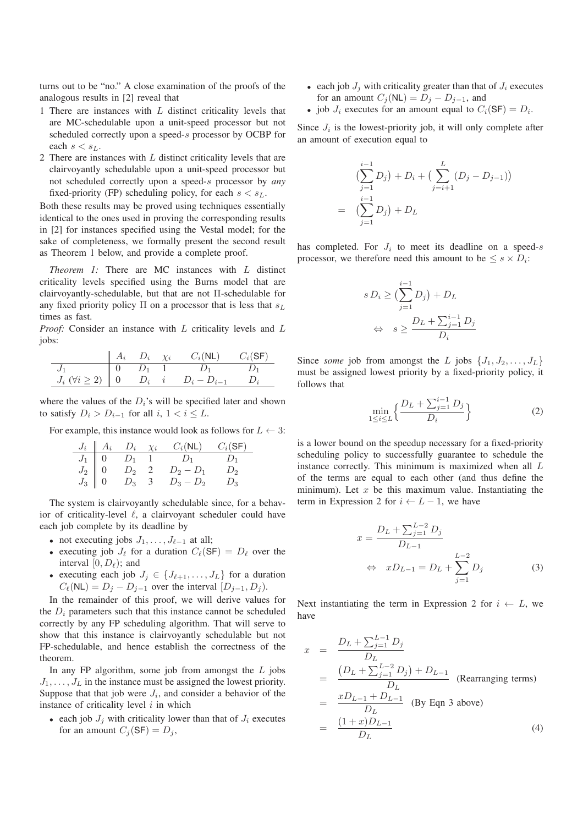turns out to be "no." A close examination of the proofs of the analogous results in [2] reveal that

- 1 There are instances with  $L$  distinct criticality levels that are MC-schedulable upon a unit-speed processor but not scheduled correctly upon a speed-s processor by OCBP for each  $s < s_L$ .
- 2 There are instances with  $L$  distinct criticality levels that are clairvoyantly schedulable upon a unit-speed processor but not scheduled correctly upon a speed-s processor by *any* fixed-priority (FP) scheduling policy, for each  $s < s<sub>L</sub>$ .

Both these results may be proved using techniques essentially identical to the ones used in proving the corresponding results in [2] for instances specified using the Vestal model; for the sake of completeness, we formally present the second result as Theorem 1 below, and provide a complete proof.

*Theorem 1:* There are MC instances with L distinct criticality levels specified using the Burns model that are clairvoyantly-schedulable, but that are not Π-schedulable for any fixed priority policy  $\Pi$  on a processor that is less that  $s_L$ times as fast.

*Proof:* Consider an instance with L criticality levels and L jobs:

|                                         |         | $\chi_i$ | $C_i(\mathsf{NL})$ | $C_i$ (SF) |
|-----------------------------------------|---------|----------|--------------------|------------|
|                                         |         |          |                    |            |
| $J_i \; (\forall i \geq 2) \parallel 0$ | $D_i$ i |          |                    |            |

where the values of the  $D_i$ 's will be specified later and shown to satisfy  $D_i > D_{i-1}$  for all  $i, 1 < i \leq L$ .

For example, this instance would look as follows for  $L \leftarrow 3$ :

$$
\begin{array}{c|ccccc}\nJ_i & A_i & D_i & \chi_i & C_i(\text{NL}) & C_i(\text{SF}) \\
\hline\nJ_1 & 0 & D_1 & 1 & D_1 & D_1 \\
J_2 & 0 & D_2 & 2 & D_2 - D_1 & D_2 \\
J_3 & 0 & D_3 & 3 & D_3 - D_2 & D_3\n\end{array}
$$

The system is clairvoyantly schedulable since, for a behavior of criticality-level  $\ell$ , a clairvoyant scheduler could have each job complete by its deadline by

- not executing jobs  $J_1, \ldots, J_{\ell-1}$  at all;
- executing job  $J_{\ell}$  for a duration  $C_{\ell}(\mathsf{SF}) = D_{\ell}$  over the interval  $[0, D_{\ell})$ ; and
- executing each job  $J_j \in \{J_{\ell+1}, \ldots, J_L\}$  for a duration  $C_{\ell}(NL) = D_j - D_{j-1}$  over the interval  $[D_{j-1}, D_j)$ .

In the remainder of this proof, we will derive values for the  $D_i$  parameters such that this instance cannot be scheduled correctly by any FP scheduling algorithm. That will serve to show that this instance is clairvoyantly schedulable but not FP-schedulable, and hence establish the correctness of the theorem.

In any FP algorithm, some job from amongst the  $L$  jobs  $J_1, \ldots, J_L$  in the instance must be assigned the lowest priority. Suppose that that job were  $J_i$ , and consider a behavior of the instance of criticality level  $i$  in which

• each job  $J_i$  with criticality lower than that of  $J_i$  executes for an amount  $C_i(\mathsf{SF}) = D_i$ ,

- each job  $J_i$  with criticality greater than that of  $J_i$  executes for an amount  $C_j(NL) = D_j - D_{j-1}$ , and
- job  $J_i$  executes for an amount equal to  $C_i(\mathsf{SF}) = D_i$ .

Since  $J_i$  is the lowest-priority job, it will only complete after an amount of execution equal to

$$
\left(\sum_{j=1}^{i-1} D_j\right) + D_i + \left(\sum_{j=i+1}^{L} (D_j - D_{j-1})\right)
$$
  
= 
$$
\left(\sum_{j=1}^{i-1} D_j\right) + D_L
$$

has completed. For  $J_i$  to meet its deadline on a speed-s processor, we therefore need this amount to be  $\leq s \times D_i$ :

$$
s D_i \ge \left(\sum_{j=1}^{i-1} D_j\right) + D_L
$$
  

$$
\Leftrightarrow \quad s \ge \frac{D_L + \sum_{j=1}^{i-1} D_j}{D_i}
$$

Since *some* job from amongst the L jobs  $\{J_1, J_2, \ldots, J_L\}$ must be assigned lowest priority by a fixed-priority policy, it follows that

$$
\min_{1 \le i \le L} \left\{ \frac{D_L + \sum_{j=1}^{i-1} D_j}{D_i} \right\} \tag{2}
$$

is a lower bound on the speedup necessary for a fixed-priority scheduling policy to successfully guarantee to schedule the instance correctly. This minimum is maximized when all L of the terms are equal to each other (and thus define the minimum). Let  $x$  be this maximum value. Instantiating the term in Expression 2 for  $i \leftarrow L - 1$ , we have

$$
x = \frac{D_L + \sum_{j=1}^{L-2} D_j}{D_{L-1}}
$$
  
\n
$$
\Leftrightarrow xD_{L-1} = D_L + \sum_{j=1}^{L-2} D_j
$$
 (3)

Next instantiating the term in Expression 2 for  $i \leftarrow L$ , we have

$$
x = \frac{D_L + \sum_{j=1}^{L-1} D_j}{D_L}
$$
  
= 
$$
\frac{(D_L + \sum_{j=1}^{L-2} D_j) + D_{L-1}}{D_L}
$$
 (Rearranging terms)  
= 
$$
\frac{xD_{L-1} + D_{L-1}}{D_L}
$$
 (By Eqn 3 above)  
= 
$$
\frac{(1+x)D_{L-1}}{D_L}
$$
 (4)